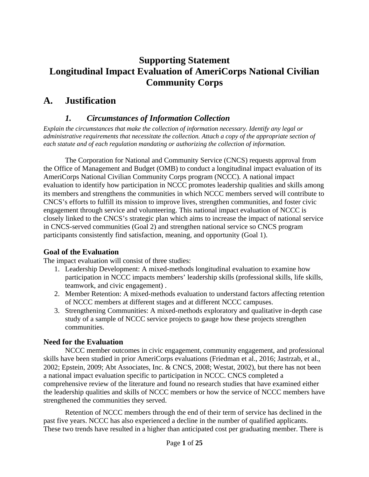# **Supporting Statement Longitudinal Impact Evaluation of AmeriCorps National Civilian Community Corps**

## **A. Justification**

### *1. Circumstances of Information Collection*

*Explain the circumstances that make the collection of information necessary. Identify any legal or administrative requirements that necessitate the collection. Attach a copy of the appropriate section of each statute and of each regulation mandating or authorizing the collection of information.*

The Corporation for National and Community Service (CNCS) requests approval from the Office of Management and Budget (OMB) to conduct a longitudinal impact evaluation of its AmeriCorps National Civilian Community Corps program (NCCC). A national impact evaluation to identify how participation in NCCC promotes leadership qualities and skills among its members and strengthens the communities in which NCCC members served will contribute to CNCS's efforts to fulfill its mission to improve lives, strengthen communities, and foster civic engagement through service and volunteering. This national impact evaluation of NCCC is closely linked to the CNCS's strategic plan which aims to increase the impact of national service in CNCS-served communities (Goal 2) and strengthen national service so CNCS program participants consistently find satisfaction, meaning, and opportunity (Goal 1).

### **Goal of the Evaluation**

The impact evaluation will consist of three studies:

- 1. Leadership Development: A mixed-methods longitudinal evaluation to examine how participation in NCCC impacts members' leadership skills (professional skills, life skills, teamwork, and civic engagement) .
- 2. Member Retention: A mixed-methods evaluation to understand factors affecting retention of NCCC members at different stages and at different NCCC campuses.
- 3. Strengthening Communities: A mixed-methods exploratory and qualitative in-depth case study of a sample of NCCC service projects to gauge how these projects strengthen communities.

### **Need for the Evaluation**

NCCC member outcomes in civic engagement, community engagement, and professional skills have been studied in prior AmeriCorps evaluations (Friedman et al., 2016; Jastrzab, et al., 2002; Epstein, 2009; Abt Associates, Inc. & CNCS, 2008; Westat, 2002), but there has not been a national impact evaluation specific to participation in NCCC. CNCS completed a comprehensive review of the literature and found no research studies that have examined either the leadership qualities and skills of NCCC members or how the service of NCCC members have strengthened the communities they served.

Retention of NCCC members through the end of their term of service has declined in the past five years. NCCC has also experienced a decline in the number of qualified applicants. These two trends have resulted in a higher than anticipated cost per graduating member. There is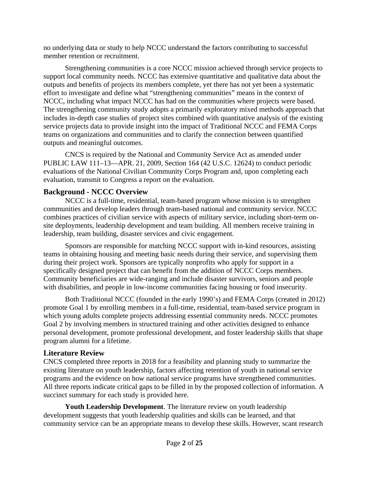no underlying data or study to help NCCC understand the factors contributing to successful member retention or recruitment.

Strengthening communities is a core NCCC mission achieved through service projects to support local community needs. NCCC has extensive quantitative and qualitative data about the outputs and benefits of projects its members complete, yet there has not yet been a systematic effort to investigate and define what "strengthening communities" means in the context of NCCC, including what impact NCCC has had on the communities where projects were based. The strengthening community study adopts a primarily exploratory mixed methods approach that includes in-depth case studies of project sites combined with quantitative analysis of the existing service projects data to provide insight into the impact of Traditional NCCC and FEMA Corps teams on organizations and communities and to clarify the connection between quantified outputs and meaningful outcomes.

CNCS is required by the National and Community Service Act as amended under PUBLIC LAW 111–13—APR. 21, 2009, Section 164 (42 U.S.C. 12624) to conduct periodic evaluations of the National Civilian Community Corps Program and, upon completing each evaluation, transmit to Congress a report on the evaluation.

#### **Background - NCCC Overview**

NCCC is a full-time, residential, team-based program whose mission is to strengthen communities and develop leaders through team-based national and community service. NCCC combines practices of civilian service with aspects of military service, including short-term onsite deployments, leadership development and team building. All members receive training in leadership, team building, disaster services and civic engagement.

Sponsors are responsible for matching NCCC support with in-kind resources, assisting teams in obtaining housing and meeting basic needs during their service, and supervising them during their project work. Sponsors are typically nonprofits who apply for support in a specifically designed project that can benefit from the addition of NCCC Corps members. Community beneficiaries are wide-ranging and include disaster survivors, seniors and people with disabilities, and people in low-income communities facing housing or food insecurity.

Both Traditional NCCC (founded in the early 1990's) and FEMA Corps (created in 2012) promote Goal 1 by enrolling members in a full-time, residential, team-based service program in which young adults complete projects addressing essential community needs. NCCC promotes Goal 2 by involving members in structured training and other activities designed to enhance personal development, promote professional development, and foster leadership skills that shape program alumni for a lifetime.

#### **Literature Review**

CNCS completed three reports in 2018 for a feasibility and planning study to summarize the existing literature on youth leadership, factors affecting retention of youth in national service programs and the evidence on how national service programs have strengthened communities. All three reports indicate critical gaps to be filled in by the proposed collection of information. A succinct summary for each study is provided here.

**Youth Leadership Development**. The literature review on youth leadership development suggests that youth leadership qualities and skills can be learned, and that community service can be an appropriate means to develop these skills. However, scant research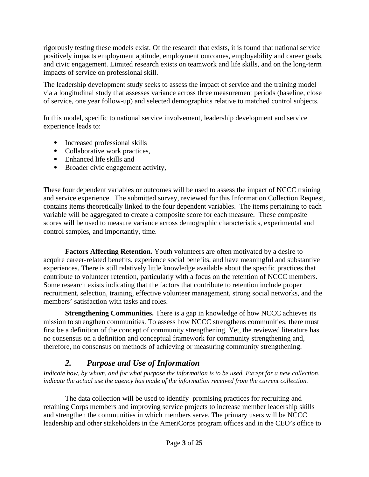rigorously testing these models exist. Of the research that exists, it is found that national service positively impacts employment aptitude, employment outcomes, employability and career goals, and civic engagement. Limited research exists on teamwork and life skills, and on the long-term impacts of service on professional skill.

The leadership development study seeks to assess the impact of service and the training model via a longitudinal study that assesses variance across three measurement periods (baseline, close of service, one year follow-up) and selected demographics relative to matched control subjects.

In this model, specific to national service involvement, leadership development and service experience leads to:

- Increased professional skills
- Collaborative work practices,
- Enhanced life skills and
- Broader civic engagement activity,

These four dependent variables or outcomes will be used to assess the impact of NCCC training and service experience. The submitted survey, reviewed for this Information Collection Request, contains items theoretically linked to the four dependent variables. The items pertaining to each variable will be aggregated to create a composite score for each measure. These composite scores will be used to measure variance across demographic characteristics, experimental and control samples, and importantly, time.

**Factors Affecting Retention.** Youth volunteers are often motivated by a desire to acquire career-related benefits, experience social benefits, and have meaningful and substantive experiences. There is still relatively little knowledge available about the specific practices that contribute to volunteer retention, particularly with a focus on the retention of NCCC members. Some research exists indicating that the factors that contribute to retention include proper recruitment, selection, training, effective volunteer management, strong social networks, and the members' satisfaction with tasks and roles.

**Strengthening Communities.** There is a gap in knowledge of how NCCC achieves its mission to strengthen communities. To assess how NCCC strengthens communities, there must first be a definition of the concept of community strengthening. Yet, the reviewed literature has no consensus on a definition and conceptual framework for community strengthening and, therefore, no consensus on methods of achieving or measuring community strengthening.

## *2. Purpose and Use of Information*

*Indicate how, by whom, and for what purpose the information is to be used. Except for a new collection, indicate the actual use the agency has made of the information received from the current collection.*

The data collection will be used to identify promising practices for recruiting and retaining Corps members and improving service projects to increase member leadership skills and strengthen the communities in which members serve. The primary users will be NCCC leadership and other stakeholders in the AmeriCorps program offices and in the CEO's office to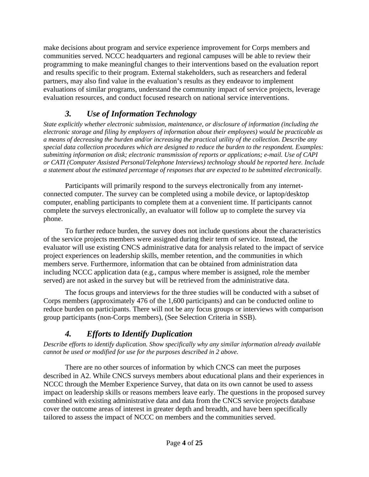make decisions about program and service experience improvement for Corps members and communities served. NCCC headquarters and regional campuses will be able to review their programming to make meaningful changes to their interventions based on the evaluation report and results specific to their program. External stakeholders, such as researchers and federal partners, may also find value in the evaluation's results as they endeavor to implement evaluations of similar programs, understand the community impact of service projects, leverage evaluation resources, and conduct focused research on national service interventions.

## *3. Use of Information Technology*

*State explicitly whether electronic submission, maintenance, or disclosure of information (including the electronic storage and filing by employers of information about their employees) would be practicable as a means of decreasing the burden and/or increasing the practical utility of the collection. Describe any special data collection procedures which are designed to reduce the burden to the respondent. Examples: submitting information on disk; electronic transmission of reports or applications; e-mail. Use of CAPI or CATI (Computer Assisted Personal/Telephone Interviews) technology should be reported here. Include a statement about the estimated percentage of responses that are expected to be submitted electronically.*

Participants will primarily respond to the surveys electronically from any internetconnected computer. The survey can be completed using a mobile device, or laptop/desktop computer, enabling participants to complete them at a convenient time. If participants cannot complete the surveys electronically, an evaluator will follow up to complete the survey via phone.

To further reduce burden, the survey does not include questions about the characteristics of the service projects members were assigned during their term of service. Instead, the evaluator will use existing CNCS administrative data for analysis related to the impact of service project experiences on leadership skills, member retention, and the communities in which members serve. Furthermore, information that can be obtained from administration data including NCCC application data (e.g., campus where member is assigned, role the member served) are not asked in the survey but will be retrieved from the administrative data.

The focus groups and interviews for the three studies will be conducted with a subset of Corps members (approximately 476 of the 1,600 participants) and can be conducted online to reduce burden on participants. There will not be any focus groups or interviews with comparison group participants (non-Corps members), (See Selection Criteria in SSB).

# *4. Efforts to Identify Duplication*

*Describe efforts to identify duplication. Show specifically why any similar information already available cannot be used or modified for use for the purposes described in 2 above.*

There are no other sources of information by which CNCS can meet the purposes described in A2. While CNCS surveys members about educational plans and their experiences in NCCC through the Member Experience Survey, that data on its own cannot be used to assess impact on leadership skills or reasons members leave early. The questions in the proposed survey combined with existing administrative data and data from the CNCS service projects database cover the outcome areas of interest in greater depth and breadth, and have been specifically tailored to assess the impact of NCCC on members and the communities served.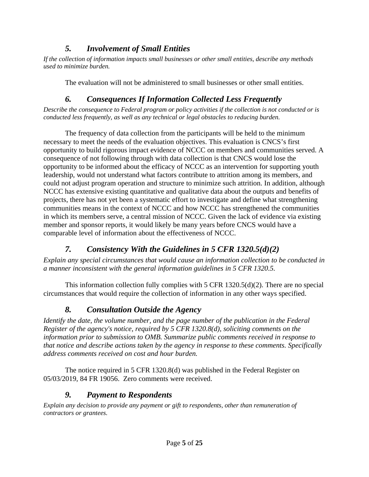## *5. Involvement of Small Entities*

*If the collection of information impacts small businesses or other small entities, describe any methods used to minimize burden.*

The evaluation will not be administered to small businesses or other small entities.

# *6. Consequences If Information Collected Less Frequently*

*Describe the consequence to Federal program or policy activities if the collection is not conducted or is conducted less frequently, as well as any technical or legal obstacles to reducing burden.*

The frequency of data collection from the participants will be held to the minimum necessary to meet the needs of the evaluation objectives. This evaluation is CNCS's first opportunity to build rigorous impact evidence of NCCC on members and communities served. A consequence of not following through with data collection is that CNCS would lose the opportunity to be informed about the efficacy of NCCC as an intervention for supporting youth leadership, would not understand what factors contribute to attrition among its members, and could not adjust program operation and structure to minimize such attrition. In addition, although NCCC has extensive existing quantitative and qualitative data about the outputs and benefits of projects, there has not yet been a systematic effort to investigate and define what strengthening communities means in the context of NCCC and how NCCC has strengthened the communities in which its members serve, a central mission of NCCC. Given the lack of evidence via existing member and sponsor reports, it would likely be many years before CNCS would have a comparable level of information about the effectiveness of NCCC.

# *7. Consistency With the Guidelines in 5 CFR 1320.5(d)(2)*

*Explain any special circumstances that would cause an information collection to be conducted in a manner inconsistent with the general information guidelines in 5 CFR 1320.5.*

This information collection fully complies with 5 CFR 1320.5(d)(2). There are no special circumstances that would require the collection of information in any other ways specified.

# *8. Consultation Outside the Agency*

*Identify the date, the volume number, and the page number of the publication in the Federal Register of the agency's notice, required by 5 CFR 1320.8(d), soliciting comments on the information prior to submission to OMB. Summarize public comments received in response to that notice and describe actions taken by the agency in response to these comments. Specifically address comments received on cost and hour burden.*

The notice required in 5 CFR 1320.8(d) was published in the Federal Register on 05/03/2019, 84 FR 19056. Zero comments were received.

# *9. Payment to Respondents*

*Explain any decision to provide any payment or gift to respondents, other than remuneration of contractors or grantees.*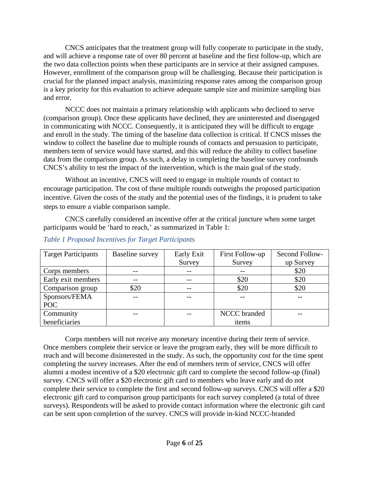CNCS anticipates that the treatment group will fully cooperate to participate in the study, and will achieve a response rate of over 80 percent at baseline and the first follow-up, which are the two data collection points when these participants are in service at their assigned campuses. However, enrollment of the comparison group will be challenging. Because their participation is crucial for the planned impact analysis, maximizing response rates among the comparison group is a key priority for this evaluation to achieve adequate sample size and minimize sampling bias and error.

NCCC does not maintain a primary relationship with applicants who declined to serve (comparison group). Once these applicants have declined, they are uninterested and disengaged in communicating with NCCC. Consequently, it is anticipated they will be difficult to engage and enroll in the study. The timing of the baseline data collection is critical. If CNCS misses the window to collect the baseline due to multiple rounds of contacts and persuasion to participate, members term of service would have started, and this will reduce the ability to collect baseline data from the comparison group. As such, a delay in completing the baseline survey confounds CNCS's ability to test the impact of the intervention, which is the main goal of the study.

Without an incentive, CNCS will need to engage in multiple rounds of contact to encourage participation. The cost of these multiple rounds outweighs the proposed participation incentive. Given the costs of the study and the potential uses of the findings, it is prudent to take steps to ensure a viable comparison sample.

CNCS carefully considered an incentive offer at the critical juncture when some target participants would be 'hard to reach,' as summarized in Table 1:

| <b>Target Participants</b> | <b>Baseline survey</b> | Early Exit | First Follow-up     | Second Follow- |
|----------------------------|------------------------|------------|---------------------|----------------|
|                            |                        | Survey     | Survey              | up Survey      |
| Corps members              |                        | --         |                     | \$20           |
| Early exit members         |                        | --         | \$20                | \$20           |
| Comparison group           | \$20                   | --         | \$20                | \$20           |
| Sponsors/FEMA              |                        |            |                     |                |
| POC                        |                        |            |                     |                |
| Community                  |                        |            | <b>NCCC</b> branded |                |
| beneficiaries              |                        |            | items               |                |

#### *Table 1 Proposed Incentives for Target Participants*

Corps members will not receive any monetary incentive during their term of service. Once members complete their service or leave the program early, they will be more difficult to reach and will become disinterested in the study. As such, the opportunity cost for the time spent completing the survey increases. After the end of members term of service, CNCS will offer alumni a modest incentive of a \$20 electronic gift card to complete the second follow-up (final) survey. CNCS will offer a \$20 electronic gift card to members who leave early and do not complete their service to complete the first and second follow-up surveys. CNCS will offer a \$20 electronic gift card to comparison group participants for each survey completed (a total of three surveys). Respondents will be asked to provide contact information where the electronic gift card can be sent upon completion of the survey. CNCS will provide in-kind NCCC-branded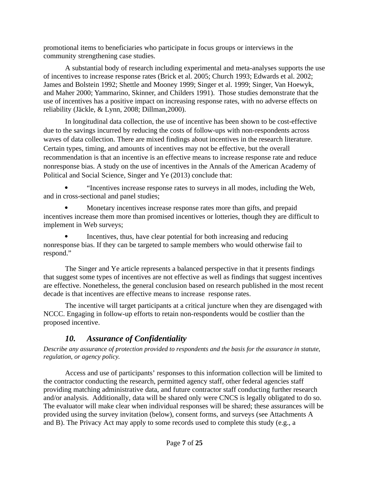promotional items to beneficiaries who participate in focus groups or interviews in the community strengthening case studies.

A substantial body of research including experimental and meta-analyses supports the use of incentives to increase response rates (Brick et al. 2005; Church 1993; Edwards et al. 2002; James and Bolstein 1992; Shettle and Mooney 1999; Singer et al. 1999; Singer, Van Hoewyk, and Maher 2000; Yammarino, Skinner, and Childers 1991). Those studies demonstrate that the use of incentives has a positive impact on increasing response rates, with no adverse effects on reliability (Jäckle, & Lynn, 2008; Dillman,2000).

In longitudinal data collection, the use of incentive has been shown to be cost-effective due to the savings incurred by reducing the costs of follow-ups with non-respondents across waves of data collection. There are mixed findings about incentives in the research literature. Certain types, timing, and amounts of incentives may not be effective, but the overall recommendation is that an incentive is an effective means to increase response rate and reduce nonresponse bias. A study on the use of incentives in the Annals of the American Academy of Political and Social Science, Singer and Ye (2013) conclude that:

 "Incentives increase response rates to surveys in all modes, including the Web, and in cross-sectional and panel studies;

 Monetary incentives increase response rates more than gifts, and prepaid incentives increase them more than promised incentives or lotteries, though they are difficult to implement in Web surveys;

 Incentives, thus, have clear potential for both increasing and reducing nonresponse bias. If they can be targeted to sample members who would otherwise fail to respond."

The Singer and Ye article represents a balanced perspective in that it presents findings that suggest some types of incentives are not effective as well as findings that suggest incentives are effective. Nonetheless, the general conclusion based on research published in the most recent decade is that incentives are effective means to increase response rates.

The incentive will target participants at a critical juncture when they are disengaged with NCCC. Engaging in follow-up efforts to retain non-respondents would be costlier than the proposed incentive.

## *10. Assurance of Confidentiality*

*Describe any assurance of protection provided to respondents and the basis for the assurance in statute, regulation, or agency policy.*

Access and use of participants' responses to this information collection will be limited to the contractor conducting the research, permitted agency staff, other federal agencies staff providing matching administrative data, and future contractor staff conducting further research and/or analysis. Additionally, data will be shared only were CNCS is legally obligated to do so. The evaluator will make clear when individual responses will be shared; these assurances will be provided using the survey invitation (below), consent forms, and surveys (see Attachments A and B). The Privacy Act may apply to some records used to complete this study (e.g., a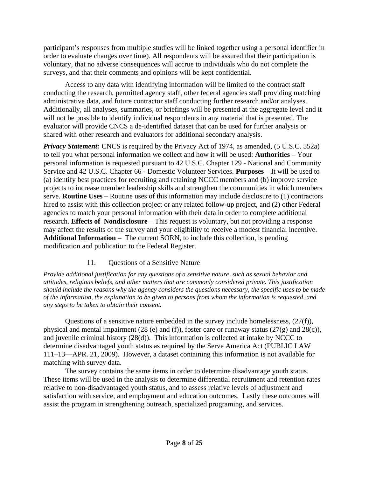participant's responses from multiple studies will be linked together using a personal identifier in order to evaluate changes over time). All respondents will be assured that their participation is voluntary, that no adverse consequences will accrue to individuals who do not complete the surveys, and that their comments and opinions will be kept confidential.

Access to any data with identifying information will be limited to the contract staff conducting the research, permitted agency staff, other federal agencies staff providing matching administrative data, and future contractor staff conducting further research and/or analyses. Additionally, all analyses, summaries, or briefings will be presented at the aggregate level and it will not be possible to identify individual respondents in any material that is presented. The evaluator will provide CNCS a de-identified dataset that can be used for further analysis or shared with other research and evaluators for additional secondary analysis.

**Privacy Statement:** CNCS is required by the Privacy Act of 1974, as amended, (5 U.S.C. 552a) to tell you what personal information we collect and how it will be used: **Authorities** – Your personal information is requested pursuant to 42 U.S.C. Chapter 129 - National and Community Service and 42 U.S.C. Chapter 66 - Domestic Volunteer Services. **Purposes** – It will be used to (a) identify best practices for recruiting and retaining NCCC members and (b) improve service projects to increase member leadership skills and strengthen the communities in which members serve. **Routine Uses** – Routine uses of this information may include disclosure to (1) contractors hired to assist with this collection project or any related follow-up project, and (2) other Federal agencies to match your personal information with their data in order to complete additional research. **Effects of Nondisclosure** – This request is voluntary, but not providing a response may affect the results of the survey and your eligibility to receive a modest financial incentive. **Additional Information** – The current SORN, to include this collection, is pending modification and publication to the Federal Register.

#### 11. Questions of a Sensitive Nature

*Provide additional justification for any questions of a sensitive nature, such as sexual behavior and attitudes, religious beliefs, and other matters that are commonly considered private. This justification should include the reasons why the agency considers the questions necessary, the specific uses to be made of the information, the explanation to be given to persons from whom the information is requested, and any steps to be taken to obtain their consent.*

Questions of a sensitive nature embedded in the survey include homelessness, (27(f)), physical and mental impairment (28 (e) and (f)), foster care or runaway status (27(g) and 28(c)), and juvenile criminal history (28(d)). This information is collected at intake by NCCC to determine disadvantaged youth status as required by the Serve America Act (PUBLIC LAW 111–13—APR. 21, 2009). However, a dataset containing this information is not available for matching with survey data.

The survey contains the same items in order to determine disadvantage youth status. These items will be used in the analysis to determine differential recruitment and retention rates relative to non-disadvantaged youth status, and to assess relative levels of adjustment and satisfaction with service, and employment and education outcomes. Lastly these outcomes will assist the program in strengthening outreach, specialized programing, and services.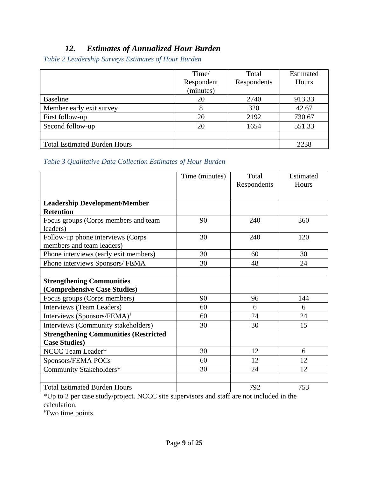## *12. Estimates of Annualized Hour Burden*

*Table 2 Leadership Surveys Estimates of Hour Burden*

|                                     | Time/      | Total       | Estimated |
|-------------------------------------|------------|-------------|-----------|
|                                     | Respondent | Respondents | Hours     |
|                                     | (minutes)  |             |           |
| <b>Baseline</b>                     | 20         | 2740        | 913.33    |
| Member early exit survey            | 8          | 320         | 42.67     |
| First follow-up                     | 20         | 2192        | 730.67    |
| Second follow-up                    | 20         | 1654        | 551.33    |
|                                     |            |             |           |
| <b>Total Estimated Burden Hours</b> |            |             | 2238      |

#### *Table 3 Qualitative Data Collection Estimates of Hour Burden*

|                                              | Time (minutes) | Total       | Estimated |
|----------------------------------------------|----------------|-------------|-----------|
|                                              |                | Respondents | Hours     |
|                                              |                |             |           |
| <b>Leadership Development/Member</b>         |                |             |           |
| <b>Retention</b>                             |                |             |           |
| Focus groups (Corps members and team         | 90             | 240         | 360       |
| leaders)                                     |                |             |           |
| Follow-up phone interviews (Corps            | 30             | 240         | 120       |
| members and team leaders)                    |                |             |           |
| Phone interviews (early exit members)        | 30             | 60          | 30        |
| Phone interviews Sponsors/ FEMA              | 30             | 48          | 24        |
|                                              |                |             |           |
| <b>Strengthening Communities</b>             |                |             |           |
| (Comprehensive Case Studies)                 |                |             |           |
| Focus groups (Corps members)                 | 90             | 96          | 144       |
| Interviews (Team Leaders)                    | 60             | 6           | 6         |
| Interviews (Sponsors/FEMA) <sup>1</sup>      | 60             | 24          | 24        |
| Interviews (Community stakeholders)          | 30             | 30          | 15        |
| <b>Strengthening Communities (Restricted</b> |                |             |           |
| <b>Case Studies)</b>                         |                |             |           |
| NCCC Team Leader*                            | 30             | 12          | 6         |
| Sponsors/FEMA POCs                           | 60             | 12          | 12        |
| Community Stakeholders*                      | 30             | 24          | 12        |
|                                              |                |             |           |
| <b>Total Estimated Burden Hours</b>          |                | 792         | 753       |

\*Up to 2 per case study/project. NCCC site supervisors and staff are not included in the calculation.

<sup>1</sup>Two time points.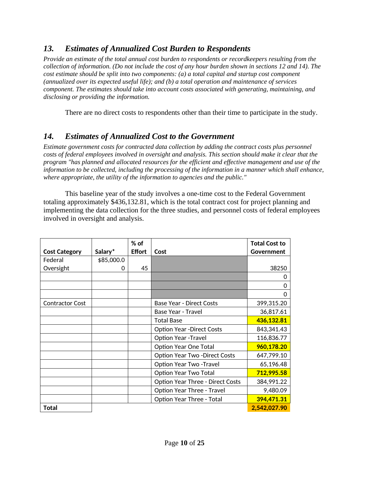### *13. Estimates of Annualized Cost Burden to Respondents*

*Provide an estimate of the total annual cost burden to respondents or recordkeepers resulting from the collection of information. (Do not include the cost of any hour burden shown in sections 12 and 14). The cost estimate should be split into two components: (a) a total capital and startup cost component (annualized over its expected useful life); and (b) a total operation and maintenance of services component. The estimates should take into account costs associated with generating, maintaining, and disclosing or providing the information.*

There are no direct costs to respondents other than their time to participate in the study.

### *14. Estimates of Annualized Cost to the Government*

*Estimate government costs for contracted data collection by adding the contract costs plus personnel costs of federal employees involved in oversight and analysis. This section should make it clear that the program "has planned and allocated resources for the efficient and effective management and use of the information to be collected, including the processing of the information in a manner which shall enhance, where appropriate, the utility of the information to agencies and the public."*

This baseline year of the study involves a one-time cost to the Federal Government totaling approximately \$436,132.81, which is the total contract cost for project planning and implementing the data collection for the three studies, and personnel costs of federal employees involved in oversight and analysis.

|                        |              | $%$ of        |                                         | <b>Total Cost to</b> |
|------------------------|--------------|---------------|-----------------------------------------|----------------------|
| <b>Cost Category</b>   | Salary*      | <b>Effort</b> | Cost                                    | Government           |
| Federal                | \$85,000.0   |               |                                         |                      |
| Oversight              | <sup>0</sup> | 45            |                                         | 38250                |
|                        |              |               |                                         | 0                    |
|                        |              |               |                                         | 0                    |
|                        |              |               |                                         | 0                    |
| <b>Contractor Cost</b> |              |               | <b>Base Year - Direct Costs</b>         | 399,315.20           |
|                        |              |               | Base Year - Travel                      | 36,817.61            |
|                        |              |               | <b>Total Base</b>                       | 436,132.81           |
|                        |              |               | <b>Option Year -Direct Costs</b>        | 843,341.43           |
|                        |              |               | <b>Option Year -Travel</b>              | 116,836.77           |
|                        |              |               | Option Year One Total                   | 960,178.20           |
|                        |              |               | <b>Option Year Two-Direct Costs</b>     | 647,799.10           |
|                        |              |               | Option Year Two -Travel                 | 65,196.48            |
|                        |              |               | Option Year Two Total                   | 712,995.58           |
|                        |              |               | <b>Option Year Three - Direct Costs</b> | 384,991.22           |
|                        |              |               | Option Year Three - Travel              | 9,480.09             |
|                        |              |               | Option Year Three - Total               | 394,471.31           |
| <b>Total</b>           |              |               |                                         | 2,542,027.90         |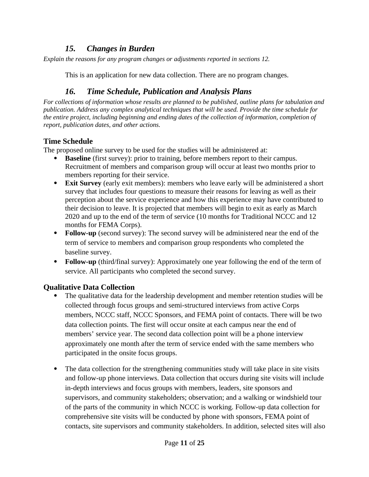### *15. Changes in Burden*

*Explain the reasons for any program changes or adjustments reported in sections 12.*

This is an application for new data collection. There are no program changes.

## *16. Time Schedule, Publication and Analysis Plans*

*For collections of information whose results are planned to be published, outline plans for tabulation and publication. Address any complex analytical techniques that will be used. Provide the time schedule for the entire project, including beginning and ending dates of the collection of information, completion of report, publication dates, and other actions.*

### **Time Schedule**

The proposed online survey to be used for the studies will be administered at:

- **Baseline** (first survey): prior to training, before members report to their campus. Recruitment of members and comparison group will occur at least two months prior to members reporting for their service.
- **Exit Survey** (early exit members): members who leave early will be administered a short survey that includes four questions to measure their reasons for leaving as well as their perception about the service experience and how this experience may have contributed to their decision to leave. It is projected that members will begin to exit as early as March 2020 and up to the end of the term of service (10 months for Traditional NCCC and 12 months for FEMA Corps).
- **Follow-up** (second survey): The second survey will be administered near the end of the term of service to members and comparison group respondents who completed the baseline survey.
- **Follow-up** (third/final survey): Approximately one year following the end of the term of service. All participants who completed the second survey.

### **Qualitative Data Collection**

- The qualitative data for the leadership development and member retention studies will be collected through focus groups and semi-structured interviews from active Corps members, NCCC staff, NCCC Sponsors, and FEMA point of contacts. There will be two data collection points. The first will occur onsite at each campus near the end of members' service year. The second data collection point will be a phone interview approximately one month after the term of service ended with the same members who participated in the onsite focus groups.
- The data collection for the strengthening communities study will take place in site visits and follow-up phone interviews. Data collection that occurs during site visits will include in-depth interviews and focus groups with members, leaders, site sponsors and supervisors, and community stakeholders; observation; and a walking or windshield tour of the parts of the community in which NCCC is working. Follow-up data collection for comprehensive site visits will be conducted by phone with sponsors, FEMA point of contacts, site supervisors and community stakeholders. In addition, selected sites will also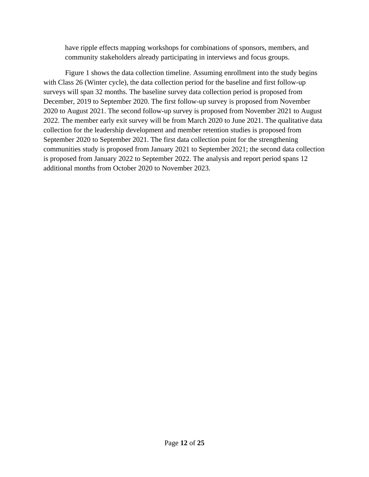have ripple effects mapping workshops for combinations of sponsors, members, and community stakeholders already participating in interviews and focus groups.

Figure 1 shows the data collection timeline. Assuming enrollment into the study begins with Class 26 (Winter cycle), the data collection period for the baseline and first follow-up surveys will span 32 months. The baseline survey data collection period is proposed from December, 2019 to September 2020. The first follow-up survey is proposed from November 2020 to August 2021. The second follow-up survey is proposed from November 2021 to August 2022. The member early exit survey will be from March 2020 to June 2021. The qualitative data collection for the leadership development and member retention studies is proposed from September 2020 to September 2021. The first data collection point for the strengthening communities study is proposed from January 2021 to September 2021; the second data collection is proposed from January 2022 to September 2022. The analysis and report period spans 12 additional months from October 2020 to November 2023.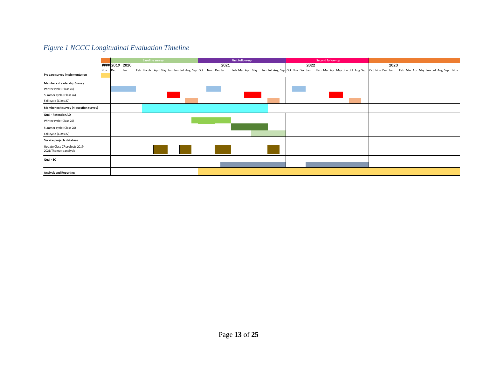#### *Figure 1 NCCC Longitudinal Evaluation Timeline*

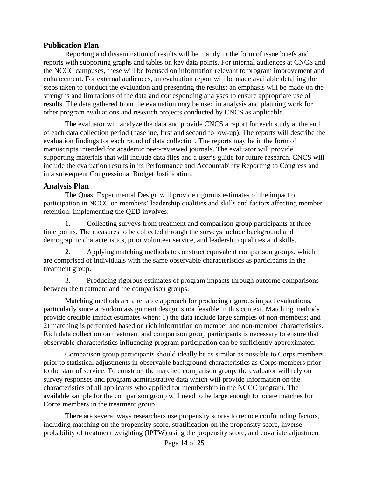#### **Publication Plan**

Reporting and dissemination of results will be mainly in the form of issue briefs and reports with supporting graphs and tables on key data points. For internal audiences at CNCS and the NCCC campuses, these will be focused on information relevant to program improvement and enhancement. For external audiences, an evaluation report will be made available detailing the steps taken to conduct the evaluation and presenting the results; an emphasis will be made on the strengths and limitations of the data and corresponding analyses to ensure appropriate use of results. The data gathered from the evaluation may be used in analysis and planning work for other program evaluations and research projects conducted by CNCS as applicable.

The evaluator will analyze the data and provide CNCS a report for each study at the end of each data collection period (baseline, first and second follow-up). The reports will describe the evaluation findings for each round of data collection. The reports may be in the form of manuscripts intended for academic peer-reviewed journals. The evaluator will provide supporting materials that will include data files and a user's guide for future research. CNCS will include the evaluation results in its Performance and Accountability Reporting to Congress and in a subsequent Congressional Budget Justification.

#### **Analysis Plan**

The Quasi Experimental Design will provide rigorous estimates of the impact of participation in NCCC on members' leadership qualities and skills and factors affecting member retention. Implementing the QED involves:

1. Collecting surveys from treatment and comparison group participants at three time points. The measures to be collected through the surveys include background and demographic characteristics, prior volunteer service, and leadership qualities and skills.

2. Applying matching methods to construct equivalent comparison groups, which are comprised of individuals with the same observable characteristics as participants in the treatment group.

3. Producing rigorous estimates of program impacts through outcome comparisons between the treatment and the comparison groups.

Matching methods are a reliable approach for producing rigorous impact evaluations, particularly since a random assignment design is not feasible in this context. Matching methods provide credible impact estimates when: 1) the data include large samples of non-members; and 2) matching is performed based on rich information on member and non-member characteristics. Rich data collection on treatment and comparison group participants is necessary to ensure that observable characteristics influencing program participation can be sufficiently approximated.

Comparison group participants should ideally be as similar as possible to Corps members prior to statistical adjustments in observable background characteristics as Corps members prior to the start of service. To construct the matched comparison group, the evaluator will rely on survey responses and program administrative data which will provide information on the characteristics of all applicants who applied for membership in the NCCC program. The available sample for the comparison group will need to be large enough to locate matches for Corps members in the treatment group.

There are several ways researchers use propensity scores to reduce confounding factors, including matching on the propensity score, stratification on the propensity score, inverse probability of treatment weighting (IPTW) using the propensity score, and covariate adjustment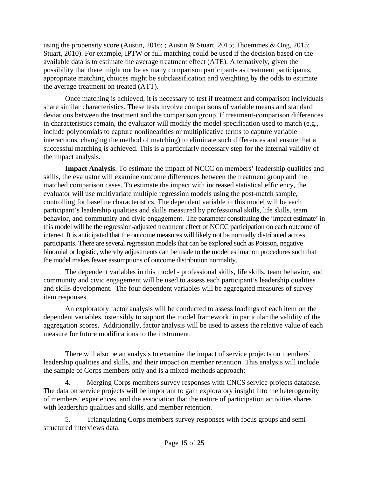using the propensity score (Austin, 2016; ; Austin & Stuart, 2015; Thoemmes & Ong, 2015; Stuart, 2010). For example, IPTW or full matching could be used if the decision based on the available data is to estimate the average treatment effect (ATE). Alternatively, given the possibility that there might not be as many comparison participants as treatment participants, appropriate matching choices might be subclassification and weighting by the odds to estimate the average treatment on treated (ATT).

Once matching is achieved, it is necessary to test if treatment and comparison individuals share similar characteristics. These tests involve comparisons of variable means and standard deviations between the treatment and the comparison group. If treatment-comparison differences in characteristics remain, the evaluator will modify the model specification used to match (e.g., include polynomials to capture nonlinearities or multiplicative terms to capture variable interactions, changing the method of matching) to eliminate such differences and ensure that a successful matching is achieved. This is a particularly necessary step for the internal validity of the impact analysis.

**Impact Analysis**. To estimate the impact of NCCC on members' leadership qualities and skills, the evaluator will examine outcome differences between the treatment group and the matched comparison cases. To estimate the impact with increased statistical efficiency, the evaluator will use multivariate multiple regression models using the post-match sample, controlling for baseline characteristics. The dependent variable in this model will be each participant's leadership qualities and skills measured by professional skills, life skills, team behavior, and community and civic engagement. The parameter constituting the 'impact estimate' in this model will be the regression-adjusted treatment effect of NCCC participation on each outcome of interest. It is anticipated that the outcome measures will likely not be normally distributed across participants. There are several regression models that can be explored such as Poisson, negative binomial or logistic, whereby adjustments can be made to the model estimation procedures such that the model makes fewer assumptions of outcome distribution normality.

The dependent variables in this model - professional skills, life skills, team behavior, and community and civic engagement will be used to assess each participant's leadership qualities and skills development. The four dependent variables will be aggregated measures of survey item responses.

An exploratory factor analysis will be conducted to assess loadings of each item on the dependent variables, ostensibly to support the model framework, in particular the validity of the aggregation scores. Additionally, factor analysis will be used to assess the relative value of each measure for future modifications to the instrument.

There will also be an analysis to examine the impact of service projects on members' leadership qualities and skills, and their impact on member retention. This analysis will include the sample of Corps members only and is a mixed-methods approach:

4. Merging Corps members survey responses with CNCS service projects database. The data on service projects will be important to gain exploratory insight into the heterogeneity of members' experiences, and the association that the nature of participation activities shares with leadership qualities and skills, and member retention.

5. Triangulating Corps members survey responses with focus groups and semistructured interviews data.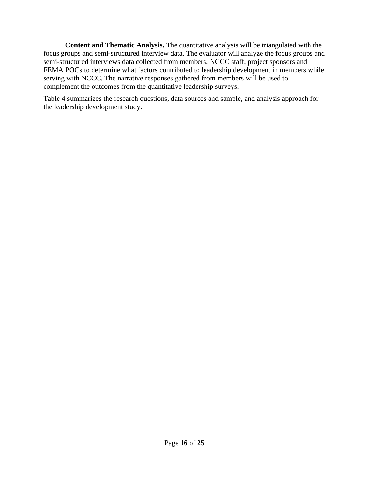**Content and Thematic Analysis.** The quantitative analysis will be triangulated with the focus groups and semi-structured interview data. The evaluator will analyze the focus groups and semi-structured interviews data collected from members, NCCC staff, project sponsors and FEMA POCs to determine what factors contributed to leadership development in members while serving with NCCC. The narrative responses gathered from members will be used to complement the outcomes from the quantitative leadership surveys.

Table 4 summarizes the research questions, data sources and sample, and analysis approach for the leadership development study.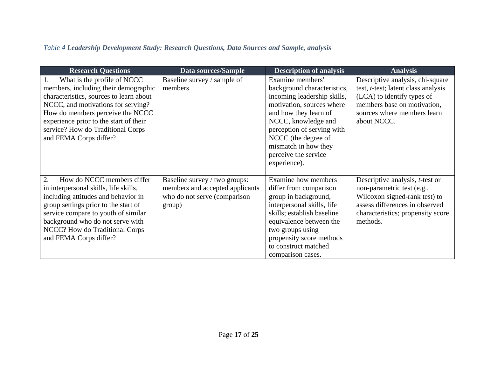## *Table 4 Leadership Development Study: Research Questions, Data Sources and Sample, analysis*

| <b>Research Questions</b>                                                                                                                                                                                                                                                                         | Data sources/Sample                                                                                        | <b>Description of analysis</b>                                                                                                                                                                                                                                                   | <b>Analysis</b>                                                                                                                                                                           |
|---------------------------------------------------------------------------------------------------------------------------------------------------------------------------------------------------------------------------------------------------------------------------------------------------|------------------------------------------------------------------------------------------------------------|----------------------------------------------------------------------------------------------------------------------------------------------------------------------------------------------------------------------------------------------------------------------------------|-------------------------------------------------------------------------------------------------------------------------------------------------------------------------------------------|
| What is the profile of NCCC<br>members, including their demographic<br>characteristics, sources to learn about<br>NCCC, and motivations for serving?<br>How do members perceive the NCCC<br>experience prior to the start of their<br>service? How do Traditional Corps<br>and FEMA Corps differ? | Baseline survey / sample of<br>members.                                                                    | Examine members'<br>background characteristics,<br>incoming leadership skills,<br>motivation, sources where<br>and how they learn of<br>NCCC, knowledge and<br>perception of serving with<br>NCCC (the degree of<br>mismatch in how they<br>perceive the service<br>experience). | Descriptive analysis, chi-square<br>test, t-test; latent class analysis<br>(LCA) to identify types of<br>members base on motivation,<br>sources where members learn<br>about NCCC.        |
| How do NCCC members differ<br>2.<br>in interpersonal skills, life skills,<br>including attitudes and behavior in<br>group settings prior to the start of<br>service compare to youth of similar<br>background who do not serve with<br>NCCC? How do Traditional Corps<br>and FEMA Corps differ?   | Baseline survey / two groups:<br>members and accepted applicants<br>who do not serve (comparison<br>group) | <b>Examine</b> how members<br>differ from comparison<br>group in background,<br>interpersonal skills, life<br>skills; establish baseline<br>equivalence between the<br>two groups using<br>propensity score methods<br>to construct matched<br>comparison cases.                 | Descriptive analysis, <i>t</i> -test or<br>non-parametric test (e.g.,<br>Wilcoxon signed-rank test) to<br>assess differences in observed<br>characteristics; propensity score<br>methods. |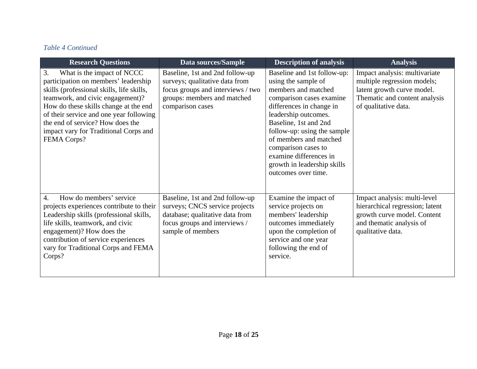### *Table 4 Continued*

| <b>Research Questions</b>                                                                                                                                                                                                                                                                                                                        | <b>Data sources/Sample</b>                                                                                                                                 | <b>Description of analysis</b>                                                                                                                                                                                                                                                                                                                     | <b>Analysis</b>                                                                                                                                     |
|--------------------------------------------------------------------------------------------------------------------------------------------------------------------------------------------------------------------------------------------------------------------------------------------------------------------------------------------------|------------------------------------------------------------------------------------------------------------------------------------------------------------|----------------------------------------------------------------------------------------------------------------------------------------------------------------------------------------------------------------------------------------------------------------------------------------------------------------------------------------------------|-----------------------------------------------------------------------------------------------------------------------------------------------------|
| 3.<br>What is the impact of NCCC<br>participation on members' leadership<br>skills (professional skills, life skills,<br>teamwork, and civic engagement)?<br>How do these skills change at the end<br>of their service and one year following<br>the end of service? How does the<br>impact vary for Traditional Corps and<br><b>FEMA Corps?</b> | Baseline, 1st and 2nd follow-up<br>surveys; qualitative data from<br>focus groups and interviews / two<br>groups: members and matched<br>comparison cases  | Baseline and 1st follow-up:<br>using the sample of<br>members and matched<br>comparison cases examine<br>differences in change in<br>leadership outcomes.<br>Baseline, 1st and 2nd<br>follow-up: using the sample<br>of members and matched<br>comparison cases to<br>examine differences in<br>growth in leadership skills<br>outcomes over time. | Impact analysis: multivariate<br>multiple regression models;<br>latent growth curve model.<br>Thematic and content analysis<br>of qualitative data. |
| How do members' service<br>$\overline{4}$ .<br>projects experiences contribute to their<br>Leadership skills (professional skills,<br>life skills, teamwork, and civic<br>engagement)? How does the<br>contribution of service experiences<br>vary for Traditional Corps and FEMA<br>Corps?                                                      | Baseline, 1st and 2nd follow-up<br>surveys; CNCS service projects<br>database; qualitative data from<br>focus groups and interviews /<br>sample of members | Examine the impact of<br>service projects on<br>members' leadership<br>outcomes immediately<br>upon the completion of<br>service and one year<br>following the end of<br>service.                                                                                                                                                                  | Impact analysis: multi-level<br>hierarchical regression; latent<br>growth curve model. Content<br>and thematic analysis of<br>qualitative data.     |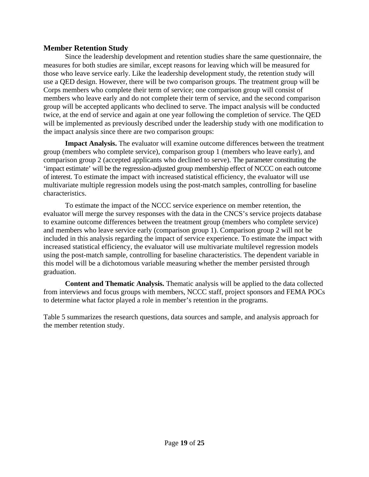#### **Member Retention Study**

Since the leadership development and retention studies share the same questionnaire, the measures for both studies are similar, except reasons for leaving which will be measured for those who leave service early. Like the leadership development study, the retention study will use a QED design. However, there will be two comparison groups. The treatment group will be Corps members who complete their term of service; one comparison group will consist of members who leave early and do not complete their term of service, and the second comparison group will be accepted applicants who declined to serve. The impact analysis will be conducted twice, at the end of service and again at one year following the completion of service. The QED will be implemented as previously described under the leadership study with one modification to the impact analysis since there are two comparison groups:

**Impact Analysis.** The evaluator will examine outcome differences between the treatment group (members who complete service), comparison group 1 (members who leave early), and comparison group 2 (accepted applicants who declined to serve). The parameter constituting the 'impact estimate' will be the regression-adjusted group membership effect of NCCC on each outcome of interest. To estimate the impact with increased statistical efficiency, the evaluator will use multivariate multiple regression models using the post-match samples, controlling for baseline characteristics.

To estimate the impact of the NCCC service experience on member retention, the evaluator will merge the survey responses with the data in the CNCS's service projects database to examine outcome differences between the treatment group (members who complete service) and members who leave service early (comparison group 1). Comparison group 2 will not be included in this analysis regarding the impact of service experience. To estimate the impact with increased statistical efficiency, the evaluator will use multivariate multilevel regression models using the post-match sample, controlling for baseline characteristics. The dependent variable in this model will be a dichotomous variable measuring whether the member persisted through graduation.

**Content and Thematic Analysis.** Thematic analysis will be applied to the data collected from interviews and focus groups with members, NCCC staff, project sponsors and FEMA POCs to determine what factor played a role in member's retention in the programs.

Table 5 summarizes the research questions, data sources and sample, and analysis approach for the member retention study.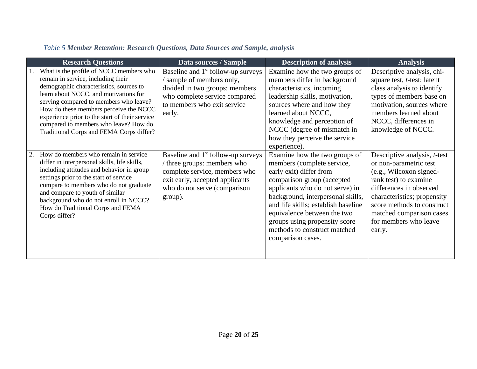## *Table 5 Member Retention: Research Questions, Data Sources and Sample, analysis*

| <b>Research Questions</b>                                                                                                                                                                                                                                                                                                                                                                    | Data sources / Sample                                                                                                                                                                        | <b>Description of analysis</b>                                                                                                                                                                                                                                                                                                                           | <b>Analysis</b>                                                                                                                                                                                                                                                   |
|----------------------------------------------------------------------------------------------------------------------------------------------------------------------------------------------------------------------------------------------------------------------------------------------------------------------------------------------------------------------------------------------|----------------------------------------------------------------------------------------------------------------------------------------------------------------------------------------------|----------------------------------------------------------------------------------------------------------------------------------------------------------------------------------------------------------------------------------------------------------------------------------------------------------------------------------------------------------|-------------------------------------------------------------------------------------------------------------------------------------------------------------------------------------------------------------------------------------------------------------------|
| What is the profile of NCCC members who<br>remain in service, including their<br>demographic characteristics, sources to<br>learn about NCCC, and motivations for<br>serving compared to members who leave?<br>How do these members perceive the NCCC<br>experience prior to the start of their service<br>compared to members who leave? How do<br>Traditional Corps and FEMA Corps differ? | Baseline and 1 <sup>st</sup> follow-up surveys<br>' sample of members only,<br>divided in two groups: members<br>who complete service compared<br>to members who exit service<br>early.      | Examine how the two groups of<br>members differ in background<br>characteristics, incoming<br>leadership skills, motivation,<br>sources where and how they<br>learned about NCCC,<br>knowledge and perception of<br>NCCC (degree of mismatch in<br>how they perceive the service<br>experience).                                                         | Descriptive analysis, chi-<br>square test, <i>t</i> -test; latent<br>class analysis to identify<br>types of members base on<br>motivation, sources where<br>members learned about<br>NCCC, differences in<br>knowledge of NCCC.                                   |
| How do members who remain in service<br>2.<br>differ in interpersonal skills, life skills,<br>including attitudes and behavior in group<br>settings prior to the start of service<br>compare to members who do not graduate<br>and compare to youth of similar<br>background who do not enroll in NCCC?<br>How do Traditional Corps and FEMA<br>Corps differ?                                | Baseline and 1 <sup>st</sup> follow-up surveys<br>/ three groups: members who<br>complete service, members who<br>exit early, accepted applicants<br>who do not serve (comparison<br>group). | Examine how the two groups of<br>members (complete service,<br>early exit) differ from<br>comparison group (accepted<br>applicants who do not serve) in<br>background, interpersonal skills,<br>and life skills; establish baseline<br>equivalence between the two<br>groups using propensity score<br>methods to construct matched<br>comparison cases. | Descriptive analysis, t-test<br>or non-parametric test<br>(e.g., Wilcoxon signed-<br>rank test) to examine<br>differences in observed<br>characteristics; propensity<br>score methods to construct<br>matched comparison cases<br>for members who leave<br>early. |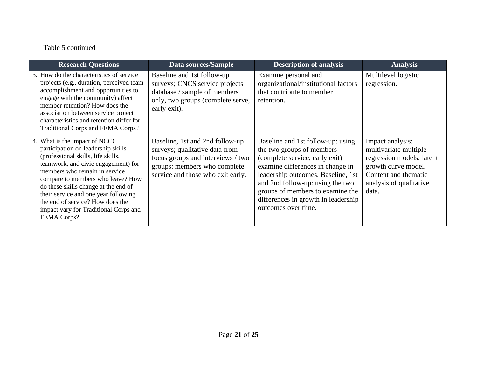## Table 5 continued

| <b>Research Questions</b>                                                                                                                                                                                                                                                                                                                                                                                 | <b>Data sources/Sample</b>                                                                                                                                                  | <b>Description of analysis</b>                                                                                                                                                                                                                                                                                   | <b>Analysis</b>                                                                                                                                           |
|-----------------------------------------------------------------------------------------------------------------------------------------------------------------------------------------------------------------------------------------------------------------------------------------------------------------------------------------------------------------------------------------------------------|-----------------------------------------------------------------------------------------------------------------------------------------------------------------------------|------------------------------------------------------------------------------------------------------------------------------------------------------------------------------------------------------------------------------------------------------------------------------------------------------------------|-----------------------------------------------------------------------------------------------------------------------------------------------------------|
| 3. How do the characteristics of service<br>projects (e.g., duration, perceived team<br>accomplishment and opportunities to<br>engage with the community) affect<br>member retention? How does the<br>association between service project<br>characteristics and retention differ for<br><b>Traditional Corps and FEMA Corps?</b>                                                                         | Baseline and 1st follow-up<br>surveys; CNCS service projects<br>database / sample of members<br>only, two groups (complete serve,<br>early exit).                           | Examine personal and<br>organizational/institutional factors<br>that contribute to member<br>retention.                                                                                                                                                                                                          | Multilevel logistic<br>regression.                                                                                                                        |
| 4. What is the impact of NCCC<br>participation on leadership skills<br>(professional skills, life skills,<br>teamwork, and civic engagement) for<br>members who remain in service<br>compare to members who leave? How<br>do these skills change at the end of<br>their service and one year following<br>the end of service? How does the<br>impact vary for Traditional Corps and<br><b>FEMA Corps?</b> | Baseline, 1st and 2nd follow-up<br>surveys; qualitative data from<br>focus groups and interviews / two<br>groups: members who complete<br>service and those who exit early. | Baseline and 1st follow-up: using<br>the two groups of members<br>(complete service, early exit)<br>examine differences in change in<br>leadership outcomes. Baseline, 1st<br>and 2nd follow-up: using the two<br>groups of members to examine the<br>differences in growth in leadership<br>outcomes over time. | Impact analysis:<br>multivariate multiple<br>regression models; latent<br>growth curve model.<br>Content and thematic<br>analysis of qualitative<br>data. |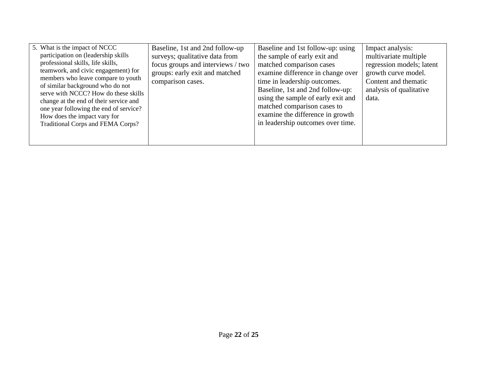| 5. What is the impact of NCCC                                                                                                                                                                                                                                                                                                                                                              | Baseline, 1st and 2nd follow-up                                                                                            | Baseline and 1st follow-up: using                                                                                                                                                                                                                                                                               | Impact analysis:                                                                                                                      |
|--------------------------------------------------------------------------------------------------------------------------------------------------------------------------------------------------------------------------------------------------------------------------------------------------------------------------------------------------------------------------------------------|----------------------------------------------------------------------------------------------------------------------------|-----------------------------------------------------------------------------------------------------------------------------------------------------------------------------------------------------------------------------------------------------------------------------------------------------------------|---------------------------------------------------------------------------------------------------------------------------------------|
| participation on (leadership skills<br>professional skills, life skills,<br>teamwork, and civic engagement) for<br>members who leave compare to youth<br>of similar background who do not<br>serve with NCCC? How do these skills<br>change at the end of their service and<br>one year following the end of service?<br>How does the impact vary for<br>Traditional Corps and FEMA Corps? | surveys; qualitative data from<br>focus groups and interviews / two<br>groups: early exit and matched<br>comparison cases. | the sample of early exit and<br>matched comparison cases<br>examine difference in change over<br>time in leadership outcomes.<br>Baseline, 1st and 2nd follow-up:<br>using the sample of early exit and<br>matched comparison cases to<br>examine the difference in growth<br>in leadership outcomes over time. | multivariate multiple<br>regression models; latent<br>growth curve model.<br>Content and thematic<br>analysis of qualitative<br>data. |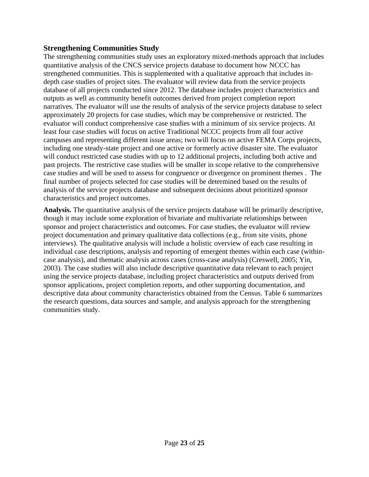#### **Strengthening Communities Study**

The strengthening communities study uses an exploratory mixed-methods approach that includes quantitative analysis of the CNCS service projects database to document how NCCC has strengthened communities. This is supplemented with a qualitative approach that includes indepth case studies of project sites. The evaluator will review data from the service projects database of all projects conducted since 2012. The database includes project characteristics and outputs as well as community benefit outcomes derived from project completion report narratives. The evaluator will use the results of analysis of the service projects database to select approximately 20 projects for case studies, which may be comprehensive or restricted. The evaluator will conduct comprehensive case studies with a minimum of six service projects. At least four case studies will focus on active Traditional NCCC projects from all four active campuses and representing different issue areas; two will focus on active FEMA Corps projects, including one steady-state project and one active or formerly active disaster site. The evaluator will conduct restricted case studies with up to 12 additional projects, including both active and past projects. The restrictive case studies will be smaller in scope relative to the comprehensive case studies and will be used to assess for congruence or divergence on prominent themes . The final number of projects selected for case studies will be determined based on the results of analysis of the service projects database and subsequent decisions about prioritized sponsor characteristics and project outcomes.

**Analysis.** The quantitative analysis of the service projects database will be primarily descriptive, though it may include some exploration of bivariate and multivariate relationships between sponsor and project characteristics and outcomes. For case studies, the evaluator will review project documentation and primary qualitative data collections (e.g., from site visits, phone interviews). The qualitative analysis will include a holistic overview of each case resulting in individual case descriptions, analysis and reporting of emergent themes within each case (withincase analysis), and thematic analysis across cases (cross-case analysis) (Creswell, 2005; Yin, 2003). The case studies will also include descriptive quantitative data relevant to each project using the service projects database, including project characteristics and outputs derived from sponsor applications, project completion reports, and other supporting documentation, and descriptive data about community characteristics obtained from the Census. Table 6 summarizes the research questions, data sources and sample, and analysis approach for the strengthening communities study.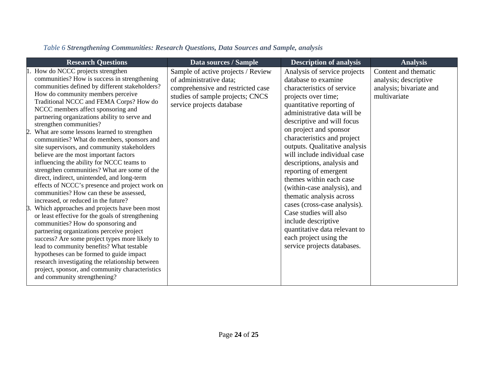|  | Table 6 Strengthening Communities: Research Questions, Data Sources and Sample, analysis |
|--|------------------------------------------------------------------------------------------|
|--|------------------------------------------------------------------------------------------|

| <b>Research Questions</b>                                                                                                                                                                                                                                                                                                                                                                                                                                                                                                                                                                                                                                                                                                                                                                                                                                                                                                                                                                                                                                                                                                                                                                                                                                                                         | Data sources / Sample                                                                                                                                               | <b>Description of analysis</b>                                                                                                                                                                                                                                                                                                                                                                                                                                                                                                                                                                                                                       | <b>Analysis</b>                                                                          |
|---------------------------------------------------------------------------------------------------------------------------------------------------------------------------------------------------------------------------------------------------------------------------------------------------------------------------------------------------------------------------------------------------------------------------------------------------------------------------------------------------------------------------------------------------------------------------------------------------------------------------------------------------------------------------------------------------------------------------------------------------------------------------------------------------------------------------------------------------------------------------------------------------------------------------------------------------------------------------------------------------------------------------------------------------------------------------------------------------------------------------------------------------------------------------------------------------------------------------------------------------------------------------------------------------|---------------------------------------------------------------------------------------------------------------------------------------------------------------------|------------------------------------------------------------------------------------------------------------------------------------------------------------------------------------------------------------------------------------------------------------------------------------------------------------------------------------------------------------------------------------------------------------------------------------------------------------------------------------------------------------------------------------------------------------------------------------------------------------------------------------------------------|------------------------------------------------------------------------------------------|
| How do NCCC projects strengthen<br>communities? How is success in strengthening<br>communities defined by different stakeholders?<br>How do community members perceive<br>Traditional NCCC and FEMA Corps? How do<br>NCCC members affect sponsoring and<br>partnering organizations ability to serve and<br>strengthen communities?<br>What are some lessons learned to strengthen<br>communities? What do members, sponsors and<br>site supervisors, and community stakeholders<br>believe are the most important factors<br>influencing the ability for NCCC teams to<br>strengthen communities? What are some of the<br>direct, indirect, unintended, and long-term<br>effects of NCCC's presence and project work on<br>communities? How can these be assessed,<br>increased, or reduced in the future?<br>Which approaches and projects have been most<br>$\beta$ .<br>or least effective for the goals of strengthening<br>communities? How do sponsoring and<br>partnering organizations perceive project<br>success? Are some project types more likely to<br>lead to community benefits? What testable<br>hypotheses can be formed to guide impact<br>research investigating the relationship between<br>project, sponsor, and community characteristics<br>and community strengthening? | Sample of active projects / Review<br>of administrative data;<br>comprehensive and restricted case<br>studies of sample projects; CNCS<br>service projects database | Analysis of service projects<br>database to examine<br>characteristics of service<br>projects over time;<br>quantitative reporting of<br>administrative data will be<br>descriptive and will focus<br>on project and sponsor<br>characteristics and project<br>outputs. Qualitative analysis<br>will include individual case<br>descriptions, analysis and<br>reporting of emergent<br>themes within each case<br>(within-case analysis), and<br>thematic analysis across<br>cases (cross-case analysis).<br>Case studies will also<br>include descriptive<br>quantitative data relevant to<br>each project using the<br>service projects databases. | Content and thematic<br>analysis; descriptive<br>analysis; bivariate and<br>multivariate |